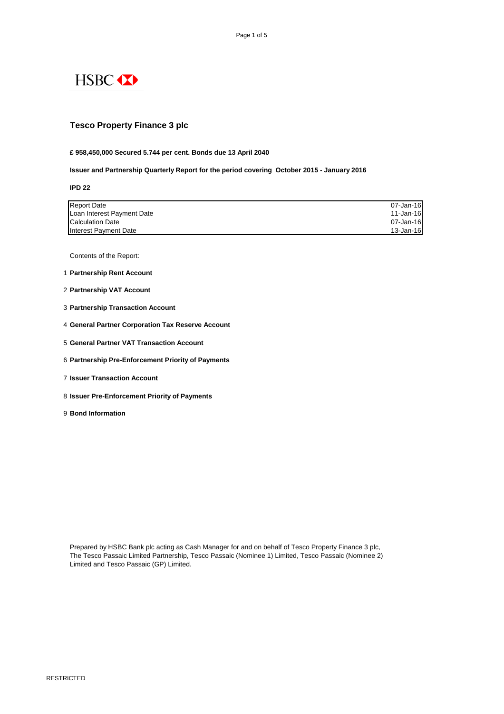

RESTRICTED

## **Tesco Property Finance 3 plc**

**£ 958,450,000 Secured 5.744 per cent. Bonds due 13 April 2040**

**Issuer and Partnership Quarterly Report for the period covering October 2015 - January 2016**

**IPD 22**

| <b>Report Date</b>         | 07-Jan-16 |
|----------------------------|-----------|
| Loan Interest Payment Date | 11-Jan-16 |
| <b>Calculation Date</b>    | 07-Jan-16 |
| Interest Payment Date      | 13-Jan-16 |

Contents of the Report:

- 1 **Partnership Rent Account**
- 2 **Partnership VAT Account**
- 3 **Partnership Transaction Account**
- 4 **General Partner Corporation Tax Reserve Account**
- 5 **General Partner VAT Transaction Account**
- 6 **Partnership Pre-Enforcement Priority of Payments**
- 7 **Issuer Transaction Account**
- 8 **Issuer Pre-Enforcement Priority of Payments**
- 9 **Bond Information**

The Tesco Passaic Limited Partnership, Tesco Passaic (Nominee 1) Limited, Tesco Passaic (Nominee 2) Limited and Tesco Passaic (GP) Limited.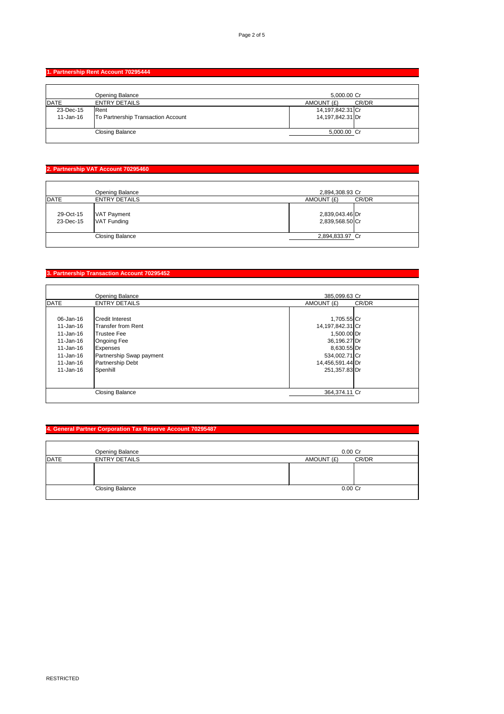RESTRICTED

### **1. Partnership Rent Account 70295444**

|              | Opening Balance                    | 5,000.00 Cr      |       |
|--------------|------------------------------------|------------------|-------|
| DATE         | <b>ENTRY DETAILS</b>               | AMOUNT (£)       | CR/DR |
| 23-Dec-15    | <b>Rent</b>                        | 14,197,842.31 Cr |       |
| $11$ -Jan-16 | To Partnership Transaction Account | 14,197,842.31 Dr |       |
|              | <b>Closing Balance</b>             | 5,000.00 Cr      |       |

# **2. Partnership VAT Account 70295460**

|                        | <b>Opening Balance</b>     | 2,894,308.93 Cr                    |       |
|------------------------|----------------------------|------------------------------------|-------|
| <b>DATE</b>            | <b>ENTRY DETAILS</b>       | AMOUNT (£)                         | CR/DR |
| 29-Oct-15<br>23-Dec-15 | VAT Payment<br>VAT Funding | 2,839,043.46 Dr<br>2,839,568.50 Cr |       |
|                        | <b>Closing Balance</b>     | 2,894,833.97 Cr                    |       |
|                        |                            |                                    |       |

## **3. Partnership Transaction Account 70295452**

|               | <b>Opening Balance</b>    | 385,099.63 Cr       |
|---------------|---------------------------|---------------------|
| <b>DATE</b>   | <b>ENTRY DETAILS</b>      | AMOUNT (£)<br>CR/DR |
|               |                           |                     |
| 06-Jan-16     | <b>Credit Interest</b>    | 1,705.55 Cr         |
| $11 - Jan-16$ | <b>Transfer from Rent</b> | 14,197,842.31 Cr    |
| $11 - Jan-16$ | Trustee Fee               | 1,500.00 Dr         |
| $11 - Jan-16$ | <b>Ongoing Fee</b>        | 36,196.27 Dr        |
| $11 - Jan-16$ | Expenses                  | 8,630.55 Dr         |
| $11 - Jan-16$ | Partnership Swap payment  | 534,002.71 Cr       |
| $11 - Jan-16$ | Partnership Debt          | 14,456,591.44 Dr    |
| $11 - Jan-16$ | Spenhill                  | 251,357.83 Dr       |
|               |                           |                     |
|               |                           |                     |
|               | <b>Closing Balance</b>    | 364,374.11 Cr       |

#### **4. General Partner Corporation Tax Reserve Account 70295487**

|             | <b>Balance</b><br>Opening      | 0.00<br>$\sim$<br>ັບ                |
|-------------|--------------------------------|-------------------------------------|
| <b>DATE</b> | <b>DETAILS</b><br><b>ENTRY</b> | CR/DR<br>$\sqrt{2}$<br>,∪UN⊤<br>AMC |
|             |                                |                                     |

| <b>Closing Balance</b> | 0.00 Cr |  |
|------------------------|---------|--|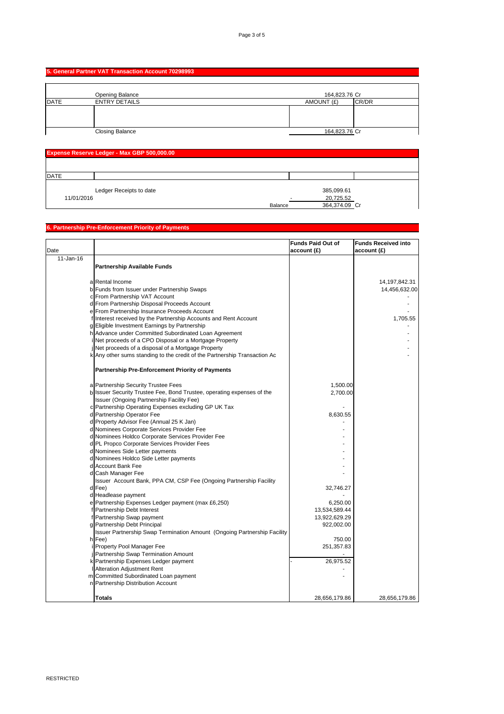### **5. General Partner VAT Transaction Account 70298993**

|      | <b>Opening Balance</b> | 164,823.76 Cr |       |
|------|------------------------|---------------|-------|
| DATE | <b>ENTRY DETAILS</b>   | AMOUNT (£)    | CR/DR |
|      |                        |               |       |
|      | <b>Closing Balance</b> | 164,823.76 Cr |       |

| <b>Expense Reserve Ledger - Max GBP 500,000.00</b> |                         |  |  |               |  |
|----------------------------------------------------|-------------------------|--|--|---------------|--|
|                                                    |                         |  |  |               |  |
| DATE                                               |                         |  |  |               |  |
|                                                    | Ledger Receipts to date |  |  | 385,099.61    |  |
| 11/01/2016                                         |                         |  |  | 20,725.52     |  |
|                                                    | <b>Balance</b>          |  |  | 364,374.09 Cr |  |

## **6. Partnership Pre-Enforcement Priority of Payments**

|           |                                                                           | <b>Funds Paid Out of</b> | <b>Funds Received into</b> |
|-----------|---------------------------------------------------------------------------|--------------------------|----------------------------|
| Date      |                                                                           | account(E)               | account(E)                 |
| 11-Jan-16 |                                                                           |                          |                            |
|           | <b>Partnership Available Funds</b>                                        |                          |                            |
|           |                                                                           |                          |                            |
|           | a Rental Income                                                           |                          | 14, 197, 842. 31           |
|           | b Funds from Issuer under Partnership Swaps                               |                          | 14,456,632.00              |
|           | c From Partnership VAT Account                                            |                          |                            |
|           | d From Partnership Disposal Proceeds Account                              |                          |                            |
|           | e From Partnership Insurance Proceeds Account                             |                          |                            |
|           | flinterest received by the Partnership Accounts and Rent Account          |                          | 1,705.55                   |
|           | g Eligible Investment Earnings by Partnership                             |                          |                            |
|           | h Advance under Committed Subordinated Loan Agreement                     |                          |                            |
|           | Net proceeds of a CPO Disposal or a Mortgage Property                     |                          |                            |
|           | Net proceeds of a disposal of a Mortgage Property                         |                          |                            |
|           | k Any other sums standing to the credit of the Partnership Transaction Ac |                          |                            |
|           | <b>Partnership Pre-Enforcement Priority of Payments</b>                   |                          |                            |
|           |                                                                           |                          |                            |
|           | a Partnership Security Trustee Fees                                       | 1,500.00                 |                            |
|           | b Issuer Security Trustee Fee, Bond Trustee, operating expenses of the    | 2,700.00                 |                            |
|           | Issuer (Ongoing Partnership Facility Fee)                                 |                          |                            |
|           | c Partnership Operating Expenses excluding GP UK Tax                      |                          |                            |
|           | d Partnership Operator Fee                                                | 8,630.55                 |                            |
|           | d Property Advisor Fee (Annual 25 K Jan)                                  |                          |                            |
|           | d Nominees Corporate Services Provider Fee                                |                          |                            |
|           | d Nominees Holdco Corporate Services Provider Fee                         |                          |                            |
|           | d PL Propco Corporate Services Provider Fees                              |                          |                            |
|           | d Nominees Side Letter payments                                           |                          |                            |
|           | d Nominees Holdco Side Letter payments                                    |                          |                            |
|           | d Account Bank Fee                                                        |                          |                            |
|           | d Cash Manager Fee                                                        |                          |                            |
|           | Issuer Account Bank, PPA CM, CSP Fee (Ongoing Partnership Facility        |                          |                            |
|           | $d$ Fee)                                                                  | 32,746.27                |                            |
|           | d Headlease payment                                                       |                          |                            |
|           | e Partnership Expenses Ledger payment (max £6,250)                        | 6,250.00                 |                            |
|           | f Partnership Debt Interest                                               | 13,534,589.44            |                            |
|           | f Partnership Swap payment                                                | 13,922,629.29            |                            |
|           | g Partnership Debt Principal                                              | 922,002.00               |                            |
|           | Issuer Partnership Swap Termination Amount (Ongoing Partnership Facility  |                          |                            |
|           | $h$ Fee)                                                                  | 750.00                   |                            |
|           | i Property Pool Manager Fee                                               | 251,357.83               |                            |
|           | Partnership Swap Termination Amount                                       |                          |                            |
|           | k Partnership Expenses Ledger payment                                     | 26,975.52                |                            |
|           | <b>  Alteration Adjustment Rent</b>                                       |                          |                            |
|           | m Committed Subordinated Loan payment                                     |                          |                            |
|           | n Partnership Distribution Account                                        |                          |                            |
|           |                                                                           |                          |                            |
|           | <b>Totals</b>                                                             | 28,656,179.86            | 28,656,179.86              |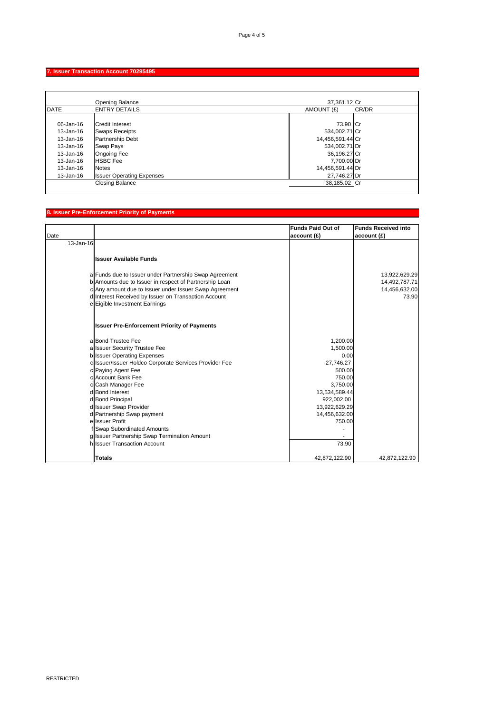RESTRICTED

#### **7. Issuer Transaction Account 70295495**

|               | <b>Opening Balance</b>           | 37,361.12 Cr     |       |
|---------------|----------------------------------|------------------|-------|
| DATE          | <b>ENTRY DETAILS</b>             | AMOUNT (£)       | CR/DR |
|               |                                  |                  |       |
| 06-Jan-16     | <b>Credit Interest</b>           | 73.90 Cr         |       |
| $13 - Jan-16$ | <b>Swaps Receipts</b>            | 534,002.71 Cr    |       |
| $13 - Jan-16$ | <b>Partnership Debt</b>          | 14,456,591.44 Cr |       |
| $13 - Jan-16$ | <b>Swap Pays</b>                 | 534,002.71 Dr    |       |
| $13 - Jan-16$ | <b>Ongoing Fee</b>               | 36,196.27 Cr     |       |
| $13 - Jan-16$ | <b>HSBC</b> Fee                  | 7,700.00 Dr      |       |
| $13 - Jan-16$ | <b>Notes</b>                     | 14,456,591.44 Dr |       |
| $13 - Jan-16$ | <b>Issuer Operating Expenses</b> | 27,746.27 Dr     |       |
|               | <b>Closing Balance</b>           | 38,185.02 Cr     |       |
|               |                                  |                  |       |

## **8. Issuer Pre-Enforcement Priority of Payments**

| Date      |                                                                              | <b>Funds Paid Out of</b><br>account(E) | <b>Funds Received into</b><br>account(E) |
|-----------|------------------------------------------------------------------------------|----------------------------------------|------------------------------------------|
| 13-Jan-16 |                                                                              |                                        |                                          |
|           |                                                                              |                                        |                                          |
|           | <b>Issuer Available Funds</b>                                                |                                        |                                          |
|           | a Funds due to Issuer under Partnership Swap Agreement                       |                                        | 13,922,629.29                            |
|           | b Amounts due to Issuer in respect of Partnership Loan                       |                                        | 14,492,787.71                            |
|           | c Any amount due to Issuer under Issuer Swap Agreement                       |                                        | 14,456,632.00                            |
|           | d Interest Received by Issuer on Transaction Account                         |                                        | 73.90                                    |
|           | e Eigible Investment Earnings                                                |                                        |                                          |
|           | <b>Issuer Pre-Enforcement Priority of Payments</b>                           |                                        |                                          |
|           | alBond Trustee Fee                                                           | 1,200.00                               |                                          |
|           | a Issuer Security Trustee Fee                                                | 1,500.00                               |                                          |
|           | b Issuer Operating Expenses                                                  | 0.00                                   |                                          |
|           | c Issuer/Issuer Holdco Corporate Services Provider Fee                       | 27,746.27                              |                                          |
|           | c Paying Agent Fee                                                           | 500.00                                 |                                          |
|           | c Account Bank Fee                                                           | 750.00                                 |                                          |
|           | c Cash Manager Fee                                                           | 3,750.00                               |                                          |
|           | d Bond Interest                                                              | 13,534,589.44                          |                                          |
|           | d Bond Principal                                                             | 922,002.00                             |                                          |
|           | d Issuer Swap Provider                                                       | 13,922,629.29                          |                                          |
|           | d Partnership Swap payment                                                   | 14,456,632.00                          |                                          |
|           | ellssuer Profit                                                              | 750.00                                 |                                          |
|           | <b>Swap Subordinated Amounts</b>                                             |                                        |                                          |
|           | g Issuer Partnership Swap Termination Amount<br>h Issuer Transaction Account | 73.90                                  |                                          |
|           |                                                                              |                                        |                                          |
|           | <b>Totals</b>                                                                | 42,872,122.90                          | 42,872,122.90                            |